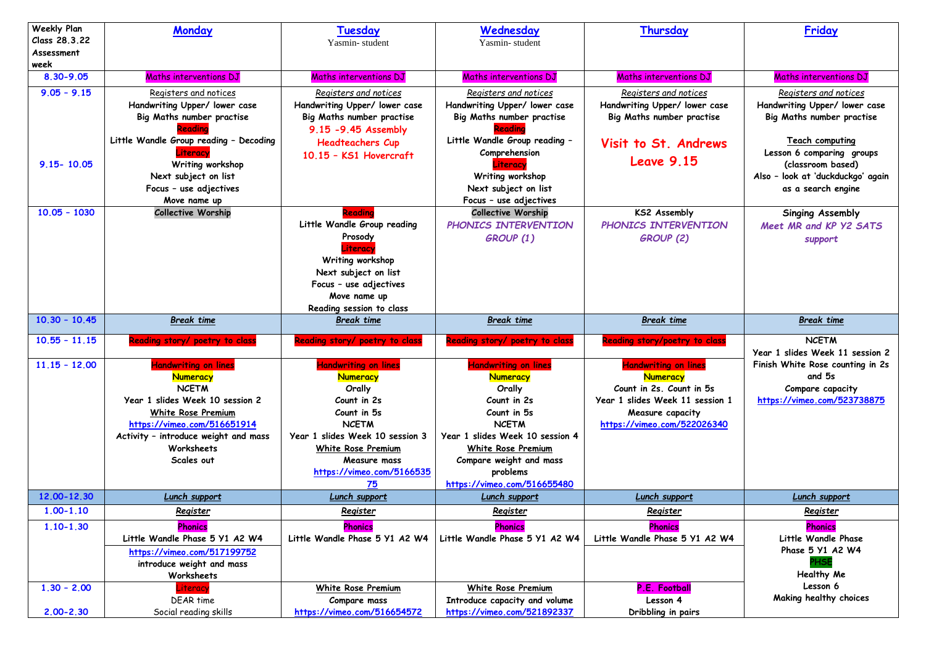| <b>Weekly Plan</b><br>Class 28.3.22 | <b>Monday</b>                                                                                                                                                                                                              | Tuesday<br>Yasmin-student                                                                                                                                                                                          | Wednesday<br>Yasmin-student                                                                                                                                                                                                                  | Thursday                                                                                                                                                         | Friday                                                                                        |
|-------------------------------------|----------------------------------------------------------------------------------------------------------------------------------------------------------------------------------------------------------------------------|--------------------------------------------------------------------------------------------------------------------------------------------------------------------------------------------------------------------|----------------------------------------------------------------------------------------------------------------------------------------------------------------------------------------------------------------------------------------------|------------------------------------------------------------------------------------------------------------------------------------------------------------------|-----------------------------------------------------------------------------------------------|
| Assessment<br>week                  |                                                                                                                                                                                                                            |                                                                                                                                                                                                                    |                                                                                                                                                                                                                                              |                                                                                                                                                                  |                                                                                               |
| 8.30-9.05                           | Maths interventions DJ                                                                                                                                                                                                     | Maths interventions DJ                                                                                                                                                                                             | Maths interventions DJ                                                                                                                                                                                                                       | Maths interventions DJ                                                                                                                                           | Maths interventions DJ                                                                        |
| $9.05 - 9.15$                       | Registers and notices<br>Handwriting Upper/ lower case<br><b>Big Maths number practise</b>                                                                                                                                 | Registers and notices<br>Handwriting Upper/ lower case<br>Big Maths number practise<br>9.15 -9.45 Assembly                                                                                                         | Registers and notices<br>Handwriting Upper/ lower case<br><b>Big Maths number practise</b><br>Readina                                                                                                                                        | Registers and notices<br>Handwriting Upper/ lower case<br>Big Maths number practise                                                                              | Registers and notices<br>Handwriting Upper/ lower case<br>Big Maths number practise           |
| $9.15 - 10.05$                      | Little Wandle Group reading - Decoding<br>Literacy<br>Writing workshop                                                                                                                                                     | <b>Headteachers Cup</b><br>10.15 - KS1 Hovercraft                                                                                                                                                                  | Little Wandle Group reading -<br>Comprehension<br>Jiteracy                                                                                                                                                                                   | Visit to St. Andrews<br><b>Leave 9.15</b>                                                                                                                        | <b>Teach computing</b><br>Lesson 6 comparing groups<br>(classroom based)                      |
|                                     | Next subject on list<br>Focus - use adjectives<br>Move name up                                                                                                                                                             |                                                                                                                                                                                                                    | Writing workshop<br>Next subject on list<br>Focus - use adjectives                                                                                                                                                                           |                                                                                                                                                                  | Also - look at 'duckduckgo' again<br>as a search engine                                       |
| $10.05 - 1030$                      | <b>Collective Worship</b>                                                                                                                                                                                                  | Reading<br>Little Wandle Group reading<br>Prosody<br>Literacy<br>Writing workshop<br>Next subject on list<br>Focus - use adjectives<br>Move name up<br>Reading session to class                                    | <b>Collective Worship</b><br>PHONICS INTERVENTION<br>GROUP (1)                                                                                                                                                                               | <b>KS2 Assembly</b><br>PHONICS INTERVENTION<br><b>GROUP (2)</b>                                                                                                  | <b>Singing Assembly</b><br>Meet MR and KP Y2 SATS<br>support                                  |
| $10.30 - 10.45$                     | <b>Break time</b>                                                                                                                                                                                                          | <b>Break time</b>                                                                                                                                                                                                  | <b>Break time</b>                                                                                                                                                                                                                            | <b>Break time</b>                                                                                                                                                | <b>Break time</b>                                                                             |
| $10.55 - 11.15$                     | Reading story/ poetry to class                                                                                                                                                                                             | Reading story/ poetry to class                                                                                                                                                                                     | Reading story/ poetry to class                                                                                                                                                                                                               | Reading story/poetry to class                                                                                                                                    | <b>NCETM</b><br>Year 1 slides Week 11 session 2                                               |
| $11.15 - 12.00$                     | <b>Handwriting on lines</b><br><b>Numeracy</b><br><b>NCETM</b><br>Year 1 slides Week 10 session 2<br>White Rose Premium<br>https://vimeo.com/516651914<br>Activity - introduce weight and mass<br>Worksheets<br>Scales out | <b>Handwriting on lines</b><br><b>Numeracy</b><br>Orally<br>Count in 2s<br>Count in 5s<br><b>NCETM</b><br>Year 1 slides Week 10 session 3<br>White Rose Premium<br>Measure mass<br>https://vimeo.com/5166535<br>75 | <b>Handwriting on lines</b><br><b>Numeracy</b><br>Orally<br>Count in 2s<br>Count in 5s<br><b>NCETM</b><br>Year 1 slides Week 10 session 4<br><b>White Rose Premium</b><br>Compare weight and mass<br>problems<br>https://vimeo.com/516655480 | <b>Handwriting on lines</b><br><b>Numeracy</b><br>Count in 2s. Count in 5s<br>Year 1 slides Week 11 session 1<br>Measure capacity<br>https://vimeo.com/522026340 | Finish White Rose counting in 2s<br>and 5s<br>Compare capacity<br>https://vimeo.com/523738875 |
| 12.00-12.30                         | Lunch support                                                                                                                                                                                                              | Lunch support                                                                                                                                                                                                      | <b>Lunch support</b>                                                                                                                                                                                                                         | Lunch support                                                                                                                                                    | Lunch support                                                                                 |
| $1.00 - 1.10$                       | Register                                                                                                                                                                                                                   | Register                                                                                                                                                                                                           | Register                                                                                                                                                                                                                                     | Register                                                                                                                                                         | Register                                                                                      |
| $1.10 - 1.30$                       | <b>Phonics</b><br>Little Wandle Phase 5 Y1 A2 W4<br>https://vimeo.com/517199752<br>introduce weight and mass<br>Worksheets                                                                                                 | Phonics<br>Little Wandle Phase 5 Y1 A2 W4                                                                                                                                                                          | Phonics<br>Little Wandle Phase 5 Y1 A2 W4                                                                                                                                                                                                    | <b>Phonics</b><br>Little Wandle Phase 5 Y1 A2 W4                                                                                                                 | <b>Phonics</b><br>Little Wandle Phase<br>Phase 5 Y1 A2 W4<br>PHSE<br>Healthy Me               |
| $1.30 - 2.00$                       | iteracy.<br><b>DEAR time</b>                                                                                                                                                                                               | <b>White Rose Premium</b><br>Compare mass                                                                                                                                                                          | <b>White Rose Premium</b><br>Introduce capacity and volume                                                                                                                                                                                   | P.E. Football<br>Lesson 4                                                                                                                                        | Lesson 6<br>Making healthy choices                                                            |
| $2.00 - 2.30$                       | Social reading skills                                                                                                                                                                                                      | https://vimeo.com/516654572                                                                                                                                                                                        | https://vimeo.com/521892337                                                                                                                                                                                                                  | Dribbling in pairs                                                                                                                                               |                                                                                               |